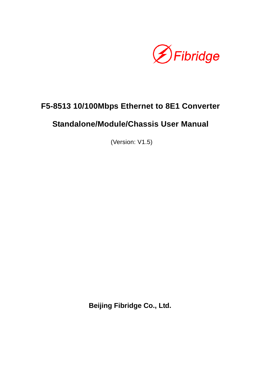

# **F5-8513 10/100Mbps Ethernet to 8E1 Converter**

# **Standalone/Module/Chassis User Manual**

(Version: V1.5)

**Beijing Fibridge Co., Ltd.**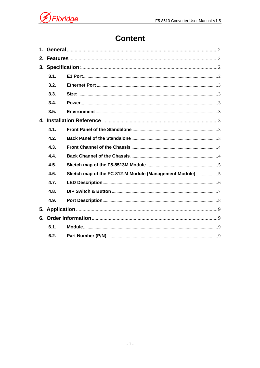

# **Content**

|    | 3.1. |                                                         |  |
|----|------|---------------------------------------------------------|--|
|    | 3.2. |                                                         |  |
|    | 3.3. |                                                         |  |
|    | 3.4. |                                                         |  |
|    | 3.5. |                                                         |  |
|    |      |                                                         |  |
|    | 4.1. |                                                         |  |
|    | 4.2. |                                                         |  |
|    | 4.3. |                                                         |  |
|    | 4.4. |                                                         |  |
|    | 4.5. |                                                         |  |
|    | 4.6. | Sketch map of the FC-812-M Module (Management Module) 5 |  |
|    | 4.7. |                                                         |  |
|    | 4.8. |                                                         |  |
|    | 4.9. |                                                         |  |
| 5. |      |                                                         |  |
|    |      |                                                         |  |
|    | 6.1. |                                                         |  |
|    | 6.2. |                                                         |  |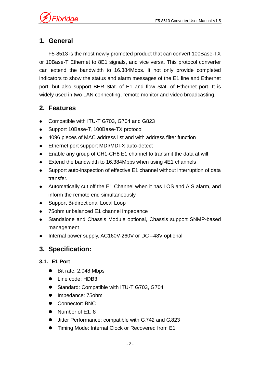Fibridge

# **1. General**

F5-8513 is the most newly promoted product that can convert 100Base-TX or 10Base-T Ethernet to 8E1 signals, and vice versa. This protocol converter can extend the bandwidth to 16.384Mbps. It not only provide completed indicators to show the status and alarm messages of the E1 line and Ethernet port, but also support BER Stat. of E1 and flow Stat. of Ethernet port. It is widely used in two LAN connecting, remote monitor and video broadcasting.

# **2. Features**

- Compatible with ITU-T G703, G704 and G823
- Support 10Base-T, 100Base-TX protocol
- 4096 pieces of MAC address list and with address filter function
- Ethernet port support MDI/MDI-X auto-detect
- Enable any group of CH1-CH8 E1 channel to transmit the data at will
- $\bullet$  Extend the bandwidth to 16.384Mbps when using 4E1 channels
- Support auto-inspection of effective E1 channel without interruption of data transfer.
- Automatically cut off the E1 Channel when it has LOS and AIS alarm, and inform the remote end simultaneously.
- Support Bi-directional Local Loop
- 75ohm unbalanced E1 channel impedance
- Standalone and Chassis Module optional, Chassis support SNMP-based management
- Internal power supply, AC160V-260V or DC -48V optional

## **3. Specification:**

### **3.1. E1 Port**

- Bit rate: 2.048 Mbps
- Line code: HDB3
- Standard: Compatible with ITU-T G703, G704
- Impedance: 75ohm
- Connector: BNC
- $\bullet$  Number of E1: 8
- Jitter Performance: compatible with G.742 and G.823
- Timing Mode: Internal Clock or Recovered from E1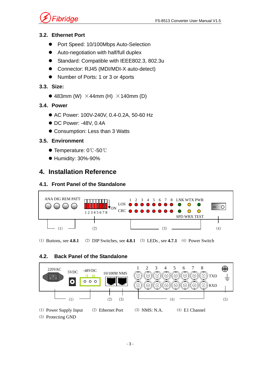

### **3.2. Ethernet Port**

- Port Speed: 10/100Mbps Auto-Selection
- Auto-negotiation with half/full duplex
- Standard: Compatible with IEEE802.3, 802.3u
- Connector: RJ45 (MDI/MDI-X auto-detect)
- Number of Ports: 1 or 3 or 4 ports

### **3.3. Size:**

 $\bullet$  483mm (W)  $\times$ 44mm (H)  $\times$ 140mm (D)

### **3.4. Power**

- AC Power: 100V-240V, 0.4-0.2A, 50-60 Hz
- $\bullet$  DC Power: -48V, 0.4A
- Consumption: Less than 3 Watts

### **3.5. Environment**

- Temperature: 0℃-50℃
- Humidity: 30%-90%

# **4. Installation Reference**

### **4.1. Front Panel of the Standalone**



⑴ Buttons, see **4.8.1** ⑵ DIP Switches, see **4.8.1** ⑶ LEDs , see **4.7.1** ⑷ Power Switch

### **4.2. Back Panel of the Standalone**

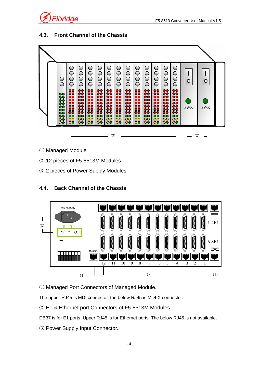

### **4.3. Front Channel of the Chassis**



- ⑴ Managed Module
- ⑵ 12 pieces of F5-8513M Modules
- ⑶ 2 pieces of Power Supply Modules

### **4.4. Back Channel of the Chassis**



⑴ Managed Port Connectors of Managed Module.

The upper RJ45 is MDI connector, the below RJ45 is MDI-X connector.

⑵ E1 & Ethernet port Connectors of F5-8513M Modules.

DB37 is for E1 ports, Upper RJ45 is for Ethernet ports. The below RJ45 is not available.

⑶ Power Supply Input Connector.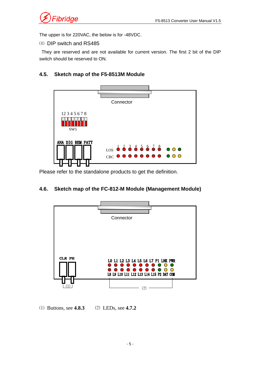

The upper is for 220VAC, the below is for -48VDC.

⑷ DIP switch and RS485

 They are reserved and are not available for current version. The first 2 bit of the DIP switch should be reserved to ON.

#### **4.5. Sketch map of the F5-8513M Module**



Please refer to the standalone products to get the definition.

#### **4.6. Sketch map of the FC-812-M Module (Management Module)**



⑴ Buttons, see **4.8.3** ⑵ LEDs, see **4.7.2**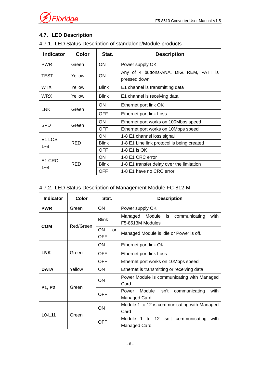

### **4.7. LED Description**

| 4.7.1. LED Status Description of standalone/Module products |  |
|-------------------------------------------------------------|--|
|-------------------------------------------------------------|--|

| <b>Indicator</b>     | <b>Color</b> | Stat.                        | <b>Description</b>                                      |  |
|----------------------|--------------|------------------------------|---------------------------------------------------------|--|
| <b>PWR</b>           | Green        | <b>ON</b><br>Power supply OK |                                                         |  |
| TEST<br>Yellow<br>ON |              |                              | Any of 4 buttons-ANA, DIG, REM, PATT is<br>pressed down |  |
| <b>WTX</b>           | Yellow       | <b>Blink</b>                 | E1 channel is transmitting data                         |  |
| <b>WRX</b>           | Yellow       | <b>Blink</b>                 | E1 channel is receiving data                            |  |
| <b>LNK</b>           | Green        | <b>ON</b>                    | Ethernet port link OK                                   |  |
|                      |              | <b>OFF</b>                   | Ethernet port link Loss                                 |  |
| <b>SPD</b>           |              | <b>ON</b>                    | Ethernet port works on 100Mbps speed                    |  |
|                      | Green        | <b>OFF</b>                   | Ethernet port works on 10Mbps speed                     |  |
| E <sub>1</sub> LOS   | <b>RED</b>   | <b>ON</b>                    | 1-8 E1 channel loss signal                              |  |
| $1 - 8$              |              | <b>Blink</b>                 | 1-8 E1 Line link protocol is being created              |  |
|                      |              | <b>OFF</b>                   | 1-8 E1 is OK                                            |  |
| E <sub>1</sub> CRC   | RED          | ON                           | 1-8 E1 CRC error                                        |  |
| $1 - 8$              |              | <b>Blink</b>                 | 1-8 E1 transfer delay over the limitation               |  |
|                      |              | OFF                          | 1-8 E1 have no CRC error                                |  |

### 4.7.2. LED Status Description of Management Module FC-812-M

| <b>Indicator</b> | Color     | Stat.                   | <b>Description</b>                                                 |  |
|------------------|-----------|-------------------------|--------------------------------------------------------------------|--|
| <b>PWR</b>       | Green     | ON                      | Power supply OK                                                    |  |
| <b>COM</b>       | Red/Green | <b>Blink</b>            | Managed Module<br>communicating<br>with<br>is.<br>F5-8513M Modules |  |
|                  |           | ON<br>$\alpha$ r<br>OFF | Managed Module is idle or Power is off.                            |  |
|                  | Green     | <b>ON</b>               | Ethernet port link OK                                              |  |
| <b>LNK</b>       |           | OFF                     | Ethernet port link Loss                                            |  |
|                  |           | <b>OFF</b>              | Ethernet port works on 10Mbps speed                                |  |
| <b>DATA</b>      | Yellow    | ON                      | Ethernet is transmitting or receiving data                         |  |
| P1, P2           | Green     | ON                      | Power Module is communicating with Managed<br>Card                 |  |
|                  |           | OFF                     | Module<br>isn't<br>communicating<br>with<br>Power<br>Managed Card  |  |
| $LO-L11$         | Green     | ON                      | Module 1 to 12 is communicating with Managed<br>Card               |  |
|                  |           | <b>OFF</b>              | Module 1 to 12 isn't communicating<br>with<br>Managed Card         |  |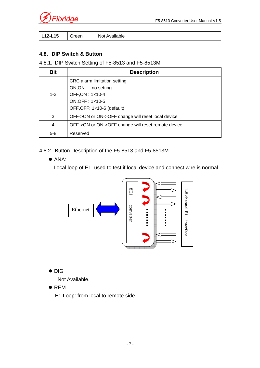

| ∟12-L15 | ∶reen<br>. . | Not.<br>Available<br>ıυι |
|---------|--------------|--------------------------|
|---------|--------------|--------------------------|

#### **4.8. DIP Switch & Button**

#### 4.8.1. DIP Switch Setting of F5-8513 and F5-8513M

| <b>Bit</b> | <b>Description</b>                                 |  |  |
|------------|----------------------------------------------------|--|--|
|            | CRC alarm limitation setting                       |  |  |
| $1 - 2$    | ON, ON : no setting<br>OFF, ON: 1x10-4             |  |  |
|            | ON, OFF: 1x10-5                                    |  |  |
|            | OFF, OFF: 1×10-6 (default)                         |  |  |
| 3          | OFF->ON or ON->OFF change will reset local device  |  |  |
| 4          | OFF->ON or ON->OFF change will reset remote device |  |  |
| $5-8$      | Reserved                                           |  |  |

#### 4.8.2. Button Description of the F5-8513 and F5-8513M

 $\bullet$  ANA:

Local loop of E1, used to test if local device and connect wire is normal



### $\bullet$  DIG

Not Available.

 $\bullet$  REM

E1 Loop: from local to remote side.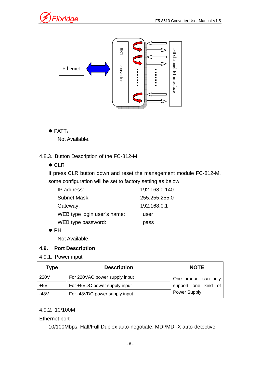



 $\bullet$  PATT:

Not Available.

4.8.3. Button Description of the FC-812-M

 $\bullet$  CLR

If press CLR button down and reset the management module FC-812-M, some configuration will be set to factory setting as below:

| IP address:                 | 192.168.0.140 |
|-----------------------------|---------------|
| Subnet Mask:                | 255.255.255.0 |
| Gateway:                    | 192.168.0.1   |
| WEB type login user's name: | user          |
| WEB type password:          | pass          |

 $\bullet$  PH

Not Available.

#### **4.9. Port Description**

4.9.1. Power input

| <b>Type</b> | <b>Description</b>            | <b>NOTE</b>          |
|-------------|-------------------------------|----------------------|
| 220V        | For 220VAC power supply input | One product can only |
| $+5V$       | For +5VDC power supply input  | support one kind of  |
| -48V        | For -48VDC power supply input | <b>Power Supply</b>  |

#### 4.9.2. 10/100M

#### Ethernet port

10/100Mbps, Half/Full Duplex auto-negotiate, MDI/MDI-X auto-detective.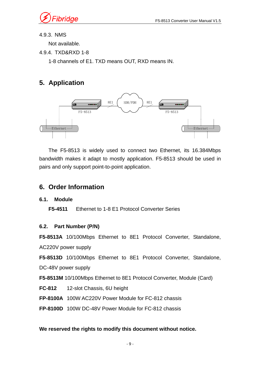

### 4.9.3. NMS

Not available.

4.9.4. TXD&RXD 1-8

1-8 channels of E1. TXD means OUT, RXD means IN.

## **5. Application**



The F5-8513 is widely used to connect two Ethernet, its 16.384Mbps bandwidth makes it adapt to mostly application. F5-8513 should be used in pairs and only support point-to-point application.

### **6. Order Information**

### **6.1. Module**

**F5-4511** Ethernet to 1-8 E1 Protocol Converter Series

### **6.2. Part Number (P/N)**

**F5-8513A** 10/100Mbps Ethernet to 8E1 Protocol Converter, Standalone, AC220V power supply

**F5-8513D** 10/100Mbps Ethernet to 8E1 Protocol Converter, Standalone,

DC-48V power supply

**F5-8513M** 10/100Mbps Ethernet to 8E1 Protocol Converter, Module (Card)

**FC-812** 12-slot Chassis, 6U height

**FP-8100A** 100W AC220V Power Module for FC-812 chassis

**FP-8100D** 100W DC-48V Power Module for FC-812 chassis

#### **We reserved the rights to modify this document without notice.**